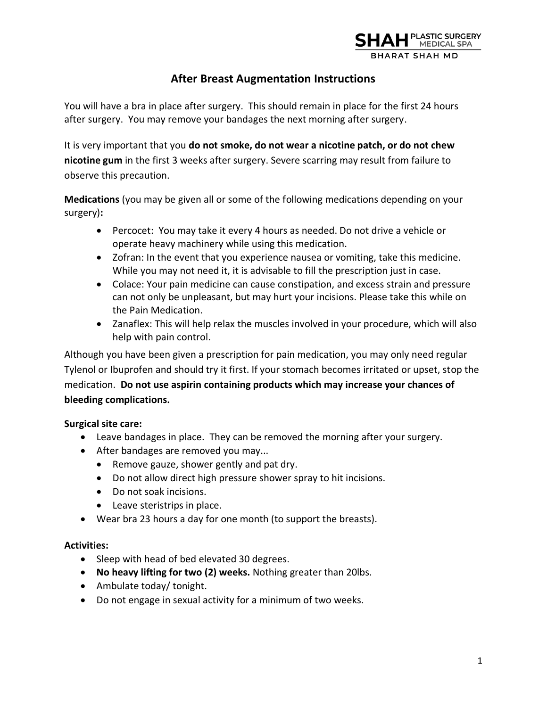

# **After Breast Augmentation Instructions**

You will have a bra in place after surgery. This should remain in place for the first 24 hours after surgery. You may remove your bandages the next morning after surgery.

It is very important that you **do not smoke, do not wear a nicotine patch, or do not chew nicotine gum** in the first 3 weeks after surgery. Severe scarring may result from failure to observe this precaution.

**Medications** (you may be given all or some of the following medications depending on your surgery)**:**

- Percocet: You may take it every 4 hours as needed. Do not drive a vehicle or operate heavy machinery while using this medication.
- Zofran: In the event that you experience nausea or vomiting, take this medicine. While you may not need it, it is advisable to fill the prescription just in case.
- Colace: Your pain medicine can cause constipation, and excess strain and pressure can not only be unpleasant, but may hurt your incisions. Please take this while on the Pain Medication.
- Zanaflex: This will help relax the muscles involved in your procedure, which will also help with pain control.

Although you have been given a prescription for pain medication, you may only need regular Tylenol or Ibuprofen and should try it first. If your stomach becomes irritated or upset, stop the medication. **Do not use aspirin containing products which may increase your chances of bleeding complications.** 

# **Surgical site care:**

- Leave bandages in place. They can be removed the morning after your surgery.
- After bandages are removed you may...
	- Remove gauze, shower gently and pat dry.
	- Do not allow direct high pressure shower spray to hit incisions.
	- Do not soak incisions.
	- Leave steristrips in place.
- Wear bra 23 hours a day for one month (to support the breasts).

#### **Activities:**

- Sleep with head of bed elevated 30 degrees.
- **No heavy lifting for two (2) weeks.** Nothing greater than 20lbs.
- Ambulate today/ tonight.
- Do not engage in sexual activity for a minimum of two weeks.